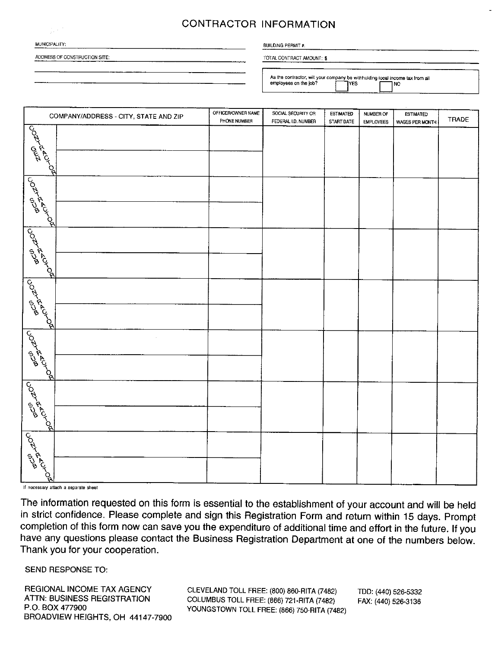## **CONTRACTOR INFORMATION**

| MUNICIPALITY: |  |
|---------------|--|

ADDRESS OF CONSTRUCTION SITE:

## **BUILDING PERMIT #:**

TOTAL CONTRACT AMOUNT: \$

As the contractor, will your company be withholding local income tax from all employees on the job? **IYES NO** 

| COMPANY/ADDRESS - CITY, STATE AND ZIP      |  | OFFICER/OWNER NAME<br>PHONE NUMBER | SOCIAL SECURITY OR<br>FEDERAL I.D. NUMBER | ESTIMATED<br>START DATE | NUMBER OF<br><b>EMPLOYEES</b> | <b>ESTIMATED</b><br>WAGES PER MONTH | <b>TRADE</b> |  |
|--------------------------------------------|--|------------------------------------|-------------------------------------------|-------------------------|-------------------------------|-------------------------------------|--------------|--|
| Rockshot                                   |  |                                    |                                           |                         |                               |                                     |              |  |
| ACOLLETON                                  |  |                                    |                                           |                         |                               |                                     |              |  |
| Pomentoon                                  |  |                                    |                                           |                         |                               |                                     |              |  |
| ACONTROOM                                  |  |                                    |                                           |                         |                               |                                     |              |  |
| Contraco                                   |  |                                    |                                           |                         |                               |                                     |              |  |
| Acontraco                                  |  |                                    |                                           |                         |                               |                                     |              |  |
| ات<br>اهلاس سنها<br>اهلاس محمد محمد المحمد |  |                                    |                                           |                         |                               |                                     |              |  |

If necessary attach a separate sheel

The information requested on this form is essential to the establishment of your account and will be held in strict confidence. Please complete and sign this Registration Form and return within 15 days. Prompt completion of this form now can save you the expenditure of additional time and effort in the future. If you have any questions please contact the Business Registration Department at one of the numbers below. Thank you for your cooperation.

SEND RESPONSE TO:

REGIONAL INCOME TAX AGENCY ATTN: BUSINESS REGISTRATION P.O. BOX 477900 BROADVIEW HEIGHTS, OH 44147-7900

CLEVELAND TOLL FREE: (800) 860-RITA (7482) COLUMBUS TOLL FREE: (866) 721-RITA (7482) YOUNGSTOWN TOLL FREE: (866) 750-RITA (7482)

TDD: (440) 526-5332 FAX: (440) 526-3136